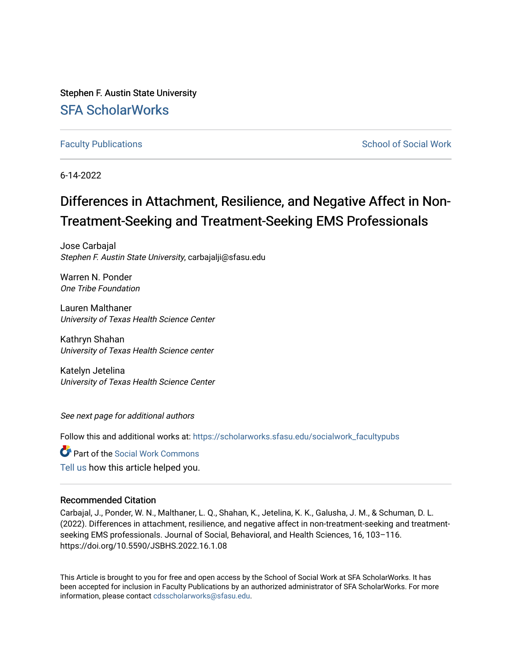Stephen F. Austin State University [SFA ScholarWorks](https://scholarworks.sfasu.edu/)

[Faculty Publications](https://scholarworks.sfasu.edu/socialwork_facultypubs) **School of Social Work School of Social Work** 

6-14-2022

# Differences in Attachment, Resilience, and Negative Affect in Non-Treatment-Seeking and Treatment-Seeking EMS Professionals

Jose Carbajal Stephen F. Austin State University, carbajalji@sfasu.edu

Warren N. Ponder One Tribe Foundation

Lauren Malthaner University of Texas Health Science Center

Kathryn Shahan University of Texas Health Science center

Katelyn Jetelina University of Texas Health Science Center

See next page for additional authors

Follow this and additional works at: [https://scholarworks.sfasu.edu/socialwork\\_facultypubs](https://scholarworks.sfasu.edu/socialwork_facultypubs?utm_source=scholarworks.sfasu.edu%2Fsocialwork_facultypubs%2F25&utm_medium=PDF&utm_campaign=PDFCoverPages) 

**C** Part of the [Social Work Commons](https://network.bepress.com/hgg/discipline/713?utm_source=scholarworks.sfasu.edu%2Fsocialwork_facultypubs%2F25&utm_medium=PDF&utm_campaign=PDFCoverPages) [Tell us](http://sfasu.qualtrics.com/SE/?SID=SV_0qS6tdXftDLradv) how this article helped you.

#### Recommended Citation

Carbajal, J., Ponder, W. N., Malthaner, L. Q., Shahan, K., Jetelina, K. K., Galusha, J. M., & Schuman, D. L. (2022). Differences in attachment, resilience, and negative affect in non-treatment-seeking and treatmentseeking EMS professionals. Journal of Social, Behavioral, and Health Sciences, 16, 103–116. https://doi.org/10.5590/JSBHS.2022.16.1.08

This Article is brought to you for free and open access by the School of Social Work at SFA ScholarWorks. It has been accepted for inclusion in Faculty Publications by an authorized administrator of SFA ScholarWorks. For more information, please contact [cdsscholarworks@sfasu.edu](mailto:cdsscholarworks@sfasu.edu).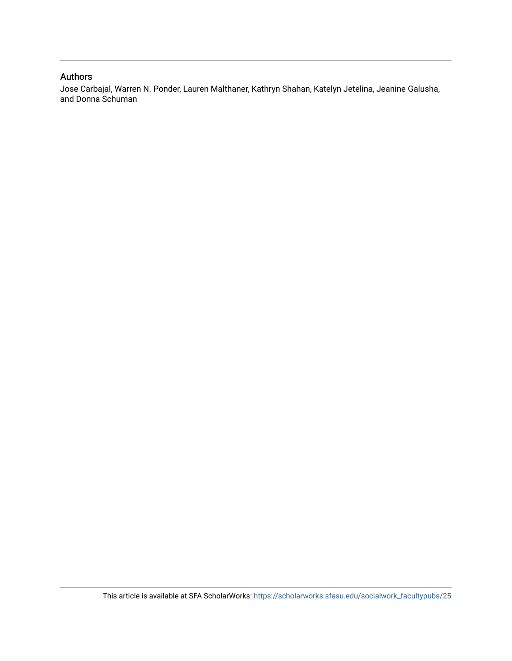#### Authors

Jose Carbajal, Warren N. Ponder, Lauren Malthaner, Kathryn Shahan, Katelyn Jetelina, Jeanine Galusha, and Donna Schuman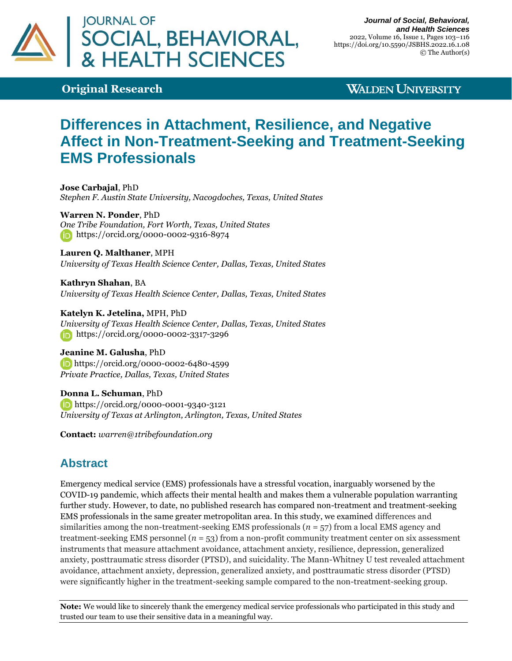

#### *Journal of Social, Behavioral, and Health Sciences* 2022, Volume 16, Issue 1, Pages 103–116 https://doi.org/10.5590/JSBHS.2022.16.1.08 © The Author(s)

# **Original Research**

# **WALDEN UNIVERSITY**

# **Differences in Attachment, Resilience, and Negative Affect in Non-Treatment-Seeking and Treatment-Seeking EMS Professionals**

**Jose Carbajal**, PhD *Stephen F. Austin State University, Nacogdoches, Texas, United States*

**Warren N. Ponder**, PhD *One Tribe Foundation, Fort Worth, Texas, United States* <https://orcid.org/0000-0002-9316-8974>

**Lauren Q. Malthaner**, MPH *University of Texas Health Science Center, Dallas, Texas, United States*

**Kathryn Shahan**, BA *University of Texas Health Science Center, Dallas, Texas, United States*

**Katelyn K. Jetelina,** MPH, PhD *University of Texas Health Science Center, Dallas, Texas, United States* <https://orcid.org/0000-0002-3317-3296>

#### **Jeanine M. Galusha**, PhD

**<https://orcid.org/0000-0002-6480-4599>** *Private Practice, Dallas, Texas, United States*

**Donna L. Schuman**, PhD **<https://orcid.org/0000-0001-9340-3121>** *University of Texas at Arlington, Arlington, Texas, United States*

**Contact:** *[warren@1tribefoundation.org](mailto:warren@1tribefoundation.org)*

# **Abstract**

Emergency medical service (EMS) professionals have a stressful vocation, inarguably worsened by the COVID-19 pandemic, which affects their mental health and makes them a vulnerable population warranting further study. However, to date, no published research has compared non-treatment and treatment-seeking EMS professionals in the same greater metropolitan area. In this study, we examined differences and similarities among the non-treatment-seeking EMS professionals (*n* = 57) from a local EMS agency and treatment-seeking EMS personnel ( $n = 53$ ) from a non-profit community treatment center on six assessment instruments that measure attachment avoidance, attachment anxiety, resilience, depression, generalized anxiety, posttraumatic stress disorder (PTSD), and suicidality. The Mann-Whitney U test revealed attachment avoidance, attachment anxiety, depression, generalized anxiety, and posttraumatic stress disorder (PTSD) were significantly higher in the treatment-seeking sample compared to the non-treatment-seeking group.

**Note:** We would like to sincerely thank the emergency medical service professionals who participated in this study and trusted our team to use their sensitive data in a meaningful way.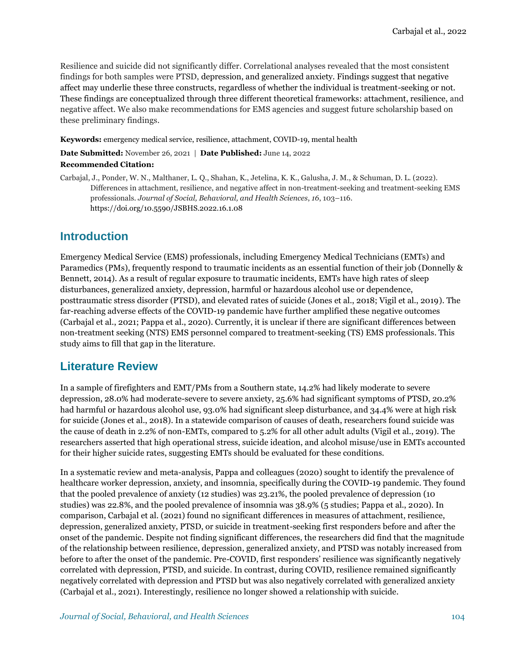Resilience and suicide did not significantly differ. Correlational analyses revealed that the most consistent findings for both samples were PTSD, depression, and generalized anxiety. Findings suggest that negative affect may underlie these three constructs, regardless of whether the individual is treatment-seeking or not. These findings are conceptualized through three different theoretical frameworks: attachment, resilience, and negative affect. We also make recommendations for EMS agencies and suggest future scholarship based on these preliminary findings.

**Keywords:** emergency medical service, resilience, attachment, COVID-19, mental health

**Date Submitted:** November 26, 2021 | **Date Published:** June 14, 2022 **Recommended Citation:**

Carbajal, J., Ponder, W. N., Malthaner, L. Q., Shahan, K., Jetelina, K. K., Galusha, J. M., & Schuman, D. L. (2022). Differences in attachment, resilience, and negative affect in non-treatment-seeking and treatment-seeking EMS professionals. *Journal of Social, Behavioral, and Health Sciences*, *16*, 103–116. <https://doi.org/10.5590/JSBHS.2022.16.1.08>

# **Introduction**

Emergency Medical Service (EMS) professionals, including Emergency Medical Technicians (EMTs) and Paramedics (PMs), frequently respond to traumatic incidents as an essential function of their job (Donnelly & Bennett, 2014). As a result of regular exposure to traumatic incidents, EMTs have high rates of sleep disturbances, generalized anxiety, depression, harmful or hazardous alcohol use or dependence, posttraumatic stress disorder (PTSD), and elevated rates of suicide (Jones et al., 2018; Vigil et al., 2019). The far-reaching adverse effects of the COVID-19 pandemic have further amplified these negative outcomes (Carbajal et al., 2021; Pappa et al., 2020). Currently, it is unclear if there are significant differences between non-treatment seeking (NTS) EMS personnel compared to treatment-seeking (TS) EMS professionals. This study aims to fill that gap in the literature.

# **Literature Review**

In a sample of firefighters and EMT/PMs from a Southern state, 14.2% had likely moderate to severe depression, 28.0% had moderate-severe to severe anxiety, 25.6% had significant symptoms of PTSD, 20.2% had harmful or hazardous alcohol use, 93.0% had significant sleep disturbance, and 34.4% were at high risk for suicide (Jones et al., 2018). In a statewide comparison of causes of death, researchers found suicide was the cause of death in 2.2% of non-EMTs, compared to 5.2% for all other adult adults (Vigil et al., 2019). The researchers asserted that high operational stress, suicide ideation, and alcohol misuse/use in EMTs accounted for their higher suicide rates, suggesting EMTs should be evaluated for these conditions.

In a systematic review and meta-analysis, Pappa and colleagues (2020) sought to identify the prevalence of healthcare worker depression, anxiety, and insomnia, specifically during the COVID-19 pandemic. They found that the pooled prevalence of anxiety (12 studies) was 23.21%, the pooled prevalence of depression (10 studies) was 22.8%, and the pooled prevalence of insomnia was 38.9% (5 studies; Pappa et al., 2020). In comparison, Carbajal et al. (2021) found no significant differences in measures of attachment, resilience, depression, generalized anxiety, PTSD, or suicide in treatment-seeking first responders before and after the onset of the pandemic. Despite not finding significant differences, the researchers did find that the magnitude of the relationship between resilience, depression, generalized anxiety, and PTSD was notably increased from before to after the onset of the pandemic. Pre-COVID, first responders' resilience was significantly negatively correlated with depression, PTSD, and suicide. In contrast, during COVID, resilience remained significantly negatively correlated with depression and PTSD but was also negatively correlated with generalized anxiety (Carbajal et al., 2021). Interestingly, resilience no longer showed a relationship with suicide.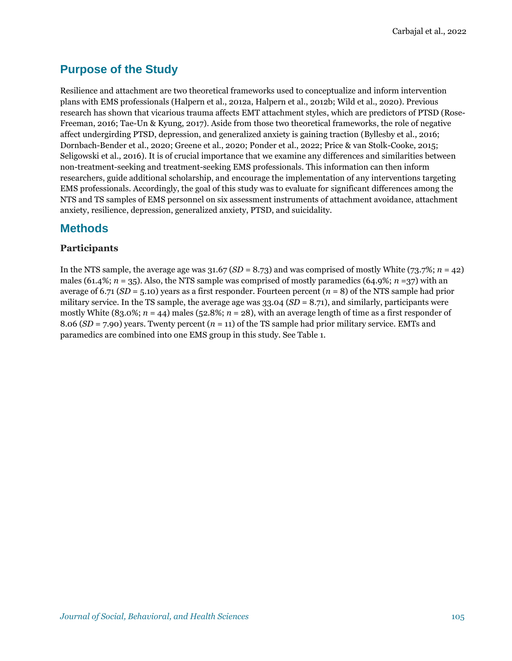# **Purpose of the Study**

Resilience and attachment are two theoretical frameworks used to conceptualize and inform intervention plans with EMS professionals (Halpern et al., 2012a, Halpern et al., 2012b; Wild et al., 2020). Previous research has shown that vicarious trauma affects EMT attachment styles, which are predictors of PTSD (Rose-Freeman, 2016; Tae-Un & Kyung, 2017). Aside from those two theoretical frameworks, the role of negative affect undergirding PTSD, depression, and generalized anxiety is gaining traction (Byllesby et al., 2016; Dornbach-Bender et al., 2020; Greene et al., 2020; Ponder et al., 2022; Price & van Stolk-Cooke, 2015; Seligowski et al., 2016). It is of crucial importance that we examine any differences and similarities between non-treatment-seeking and treatment-seeking EMS professionals. This information can then inform researchers, guide additional scholarship, and encourage the implementation of any interventions targeting EMS professionals. Accordingly, the goal of this study was to evaluate for significant differences among the NTS and TS samples of EMS personnel on six assessment instruments of attachment avoidance, attachment anxiety, resilience, depression, generalized anxiety, PTSD, and suicidality.

## **Methods**

#### **Participants**

In the NTS sample, the average age was  $31.67(SD = 8.73)$  and was comprised of mostly White (73.7%;  $n = 42$ ) males (61.4%;  $n = 35$ ). Also, the NTS sample was comprised of mostly paramedics (64.9%;  $n = 37$ ) with an average of 6.71 (*SD* = 5.10) years as a first responder. Fourteen percent (*n* = 8) of the NTS sample had prior military service. In the TS sample, the average age was 33.04 (*SD* = 8.71), and similarly, participants were mostly White (83.0%;  $n = 44$ ) males (52.8%;  $n = 28$ ), with an average length of time as a first responder of 8.06 (*SD* = 7.90) years. Twenty percent (*n* = 11) of the TS sample had prior military service. EMTs and paramedics are combined into one EMS group in this study. See Table 1.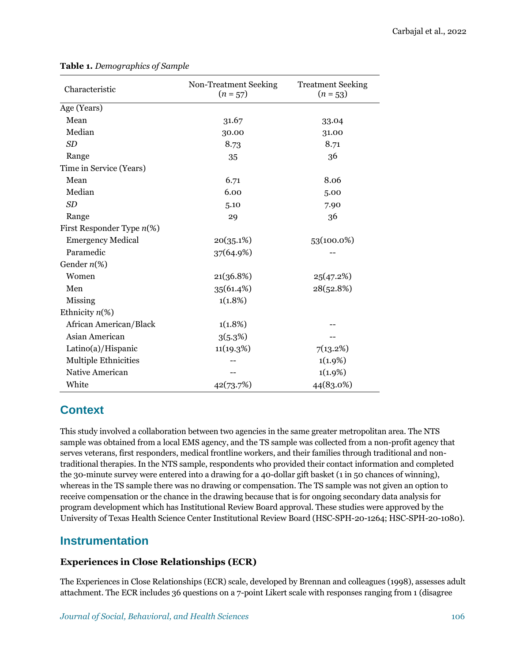| Characteristic               | Non-Treatment Seeking<br>$(n = 57)$ | <b>Treatment Seeking</b><br>$(n=53)$ |  |
|------------------------------|-------------------------------------|--------------------------------------|--|
| Age (Years)                  |                                     |                                      |  |
| Mean                         | 31.67                               | 33.04                                |  |
| Median                       | 30.00                               | 31.00                                |  |
| SD                           | 8.73                                | 8.71                                 |  |
| Range                        | 35                                  | 36                                   |  |
| Time in Service (Years)      |                                     |                                      |  |
| Mean                         | 6.71                                | 8.06                                 |  |
| Median                       | 6.00                                | 5.00                                 |  |
| SD                           | 5.10                                | 7.90                                 |  |
| Range                        | 29                                  | 36                                   |  |
| First Responder Type $n(\%)$ |                                     |                                      |  |
| <b>Emergency Medical</b>     | 20(35.1%)                           | 53(100.0%)                           |  |
| Paramedic                    | 37(64.9%)                           |                                      |  |
| Gender $n$ (%)               |                                     |                                      |  |
| Women                        | 21(36.8%)                           | 25(47.2%)                            |  |
| Men                          | 35(61.4%)                           | 28(52.8%)                            |  |
| Missing                      | 1(1.8%)                             |                                      |  |
| Ethnicity $n$ (%)            |                                     |                                      |  |
| African American/Black       | 1(1.8%)                             |                                      |  |
| Asian American               | 3(5.3%)                             |                                      |  |
| Latino(a)/Hispanic           | 11(19.3%)                           | 7(13.2%)                             |  |
| Multiple Ethnicities         |                                     | 1(1.9%)                              |  |
| Native American              |                                     | 1(1.9%)                              |  |
| White                        | 42(73.7%)                           | 44(83.0%)                            |  |

**Table 1.** *Demographics of Sample*

# **Context**

This study involved a collaboration between two agencies in the same greater metropolitan area. The NTS sample was obtained from a local EMS agency, and the TS sample was collected from a non-profit agency that serves veterans, first responders, medical frontline workers, and their families through traditional and nontraditional therapies. In the NTS sample, respondents who provided their contact information and completed the 30-minute survey were entered into a drawing for a 40-dollar gift basket (1 in 50 chances of winning), whereas in the TS sample there was no drawing or compensation. The TS sample was not given an option to receive compensation or the chance in the drawing because that is for ongoing secondary data analysis for program development which has Institutional Review Board approval. These studies were approved by the University of Texas Health Science Center Institutional Review Board (HSC-SPH-20-1264; HSC-SPH-20-1080).

# **Instrumentation**

### **Experiences in Close Relationships (ECR)**

The Experiences in Close Relationships (ECR) scale, developed by Brennan and colleagues (1998), assesses adult attachment. The ECR includes 36 questions on a 7-point Likert scale with responses ranging from 1 (disagree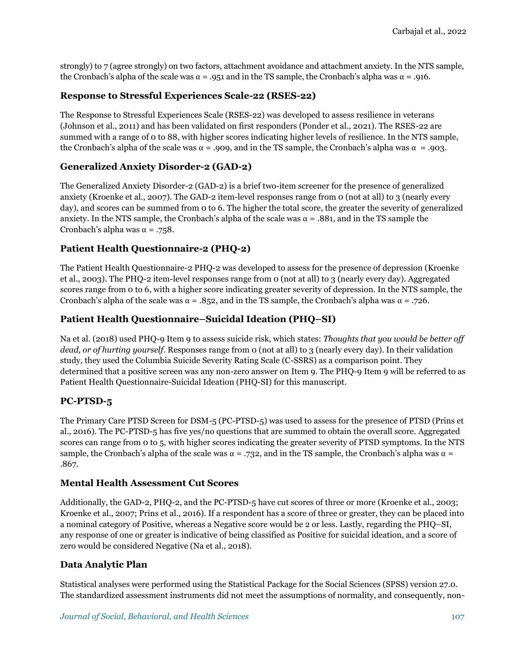strongly) to 7 (agree strongly) on two factors, attachment avoidance and attachment anxiety. In the NTS sample, the Cronbach's alpha of the scale was  $\alpha = .951$  and in the TS sample, the Cronbach's alpha was  $\alpha = .916$ .

#### **Response to Stressful Experiences Scale-22 (RSES-22)**

The Response to Stressful Experiences Scale (RSES-22) was developed to assess resilience in veterans (Johnson et al., 2011) and has been validated on first responders (Ponder et al., 2021). The RSES-22 are summed with a range of 0 to 88, with higher scores indicating higher levels of resilience. In the NTS sample, the Cronbach's alpha of the scale was  $\alpha$  = .909, and in the TS sample, the Cronbach's alpha was  $\alpha$  = .903.

#### **Generalized Anxiety Disorder-2 (GAD-2)**

The Generalized Anxiety Disorder-2 (GAD-2) is a brief two-item screener for the presence of generalized anxiety (Kroenke et al., 2007). The GAD-2 item-level responses range from 0 (not at all) to 3 (nearly every day), and scores can be summed from 0 to 6. The higher the total score, the greater the severity of generalized anxiety. In the NTS sample, the Cronbach's alpha of the scale was  $\alpha = .881$ , and in the TS sample the Cronbach's alpha was  $\alpha = .758$ .

#### **Patient Health Questionnaire-2 (PHQ-2)**

The Patient Health Questionnaire-2 PHQ-2 was developed to assess for the presence of depression (Kroenke et al., 2003). The PHQ-2 item-level responses range from 0 (not at all) to 3 (nearly every day). Aggregated scores range from 0 to 6, with a higher score indicating greater severity of depression. In the NTS sample, the Cronbach's alpha of the scale was  $\alpha = .852$ , and in the TS sample, the Cronbach's alpha was  $\alpha = .726$ .

#### **Patient Health Questionnaire–Suicidal Ideation (PHQ–SI)**

Na et al. (2018) used PHQ-9 Item 9 to assess suicide risk, which states: *Thoughts that you would be better off dead, or of hurting yourself*. Responses range from 0 (not at all) to 3 (nearly every day). In their validation study, they used the Columbia Suicide Severity Rating Scale (C-SSRS) as a comparison point. They determined that a positive screen was any non-zero answer on Item 9. The PHQ-9 Item 9 will be referred to as Patient Health Questionnaire-Suicidal Ideation (PHQ-SI) for this manuscript.

#### **PC-PTSD-5**

The Primary Care PTSD Screen for DSM-5 (PC-PTSD-5) was used to assess for the presence of PTSD (Prins et al., 2016). The PC-PTSD-5 has five yes/no questions that are summed to obtain the overall score. Aggregated scores can range from 0 to 5, with higher scores indicating the greater severity of PTSD symptoms. In the NTS sample, the Cronbach's alpha of the scale was  $\alpha$  = .732, and in the TS sample, the Cronbach's alpha was  $\alpha$  = .867.

#### **Mental Health Assessment Cut Scores**

Additionally, the GAD-2, PHQ-2, and the PC-PTSD-5 have cut scores of three or more (Kroenke et al., 2003; Kroenke et al., 2007; Prins et al., 2016). If a respondent has a score of three or greater, they can be placed into a nominal category of Positive, whereas a Negative score would be 2 or less. Lastly, regarding the PHQ–SI, any response of one or greater is indicative of being classified as Positive for suicidal ideation, and a score of zero would be considered Negative (Na et al., 2018).

#### **Data Analytic Plan**

Statistical analyses were performed using the Statistical Package for the Social Sciences (SPSS) version 27.0. The standardized assessment instruments did not meet the assumptions of normality, and consequently, non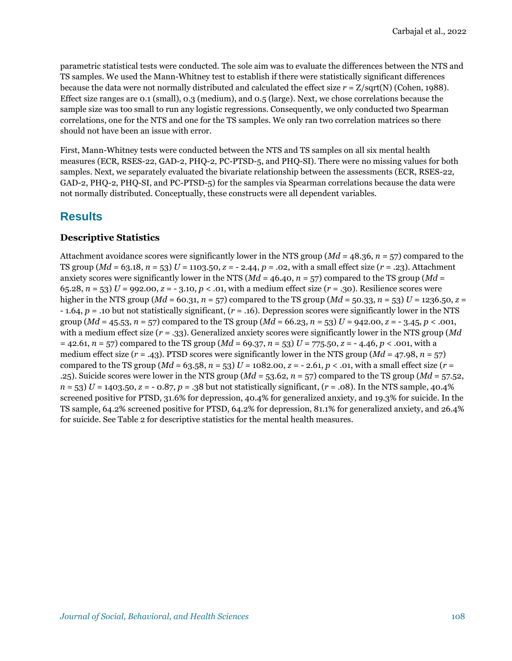parametric statistical tests were conducted. The sole aim was to evaluate the differences between the NTS and TS samples. We used the Mann-Whitney test to establish if there were statistically significant differences because the data were not normally distributed and calculated the effect size *r* = Z/sqrt(N) (Cohen, 1988). Effect size ranges are 0.1 (small), 0.3 (medium), and 0.5 (large). Next, we chose correlations because the sample size was too small to run any logistic regressions. Consequently, we only conducted two Spearman correlations, one for the NTS and one for the TS samples. We only ran two correlation matrices so there should not have been an issue with error.

First, Mann-Whitney tests were conducted between the NTS and TS samples on all six mental health measures (ECR, RSES-22, GAD-2, PHQ-2, PC-PTSD-5, and PHQ-SI). There were no missing values for both samples. Next, we separately evaluated the bivariate relationship between the assessments (ECR, RSES-22, GAD-2, PHQ-2, PHQ-SI, and PC-PTSD-5) for the samples via Spearman correlations because the data were not normally distributed. Conceptually, these constructs were all dependent variables.

# **Results**

#### **Descriptive Statistics**

Attachment avoidance scores were significantly lower in the NTS group (*Md* = 48.36, *n* = 57) compared to the TS group (*Md* = 63.18, *n* = 53) *U* = 1103.50, *z* = - 2.44, *p* = .02, with a small effect size (*r* = .23). Attachment anxiety scores were significantly lower in the NTS (*Md* = 46.40, *n* = 57) compared to the TS group (*Md* = 65.28,  $n = 53$ )  $U = 992.00$ ,  $z = -3.10$ ,  $p < .01$ , with a medium effect size  $(r = .30)$ . Resilience scores were higher in the NTS group ( $Md = 60.31$ ,  $n = 57$ ) compared to the TS group ( $Md = 50.33$ ,  $n = 53$ )  $U = 1236.50$ ,  $z =$ - 1.64, *p* = .10 but not statistically significant, (*r* = .16). Depression scores were significantly lower in the NTS group ( $Md = 45.53$ ,  $n = 57$ ) compared to the TS group ( $Md = 66.23$ ,  $n = 53$ )  $U = 942.00$ ,  $z = -3.45$ ,  $p < .001$ , with a medium effect size ( $r = .33$ ). Generalized anxiety scores were significantly lower in the NTS group (*Md*) = 42.61, *n* = 57) compared to the TS group (*Md* = 69.37, *n* = 53) *U* = 775.50, *z* = - 4.46, *p* < .001, with a medium effect size  $(r = .43)$ . PTSD scores were significantly lower in the NTS group  $Md = 47.98$ ,  $n = 57$ ) compared to the TS group ( $Md = 63.58$ ,  $n = 53$ )  $U = 1082.00$ ,  $z = -2.61$ ,  $p < .01$ , with a small effect size ( $r =$ .25). Suicide scores were lower in the NTS group  $Md = 53.62$ ,  $n = 57$  compared to the TS group  $Md = 57.52$ , *n* = 53) *U* = 1403.50, *z* = - 0.87, *p* = .38 but not statistically significant, (*r* = .08). In the NTS sample, 40.4% screened positive for PTSD, 31.6% for depression, 40.4% for generalized anxiety, and 19.3% for suicide. In the TS sample, 64.2% screened positive for PTSD, 64.2% for depression, 81.1% for generalized anxiety, and 26.4% for suicide. See Table 2 for descriptive statistics for the mental health measures.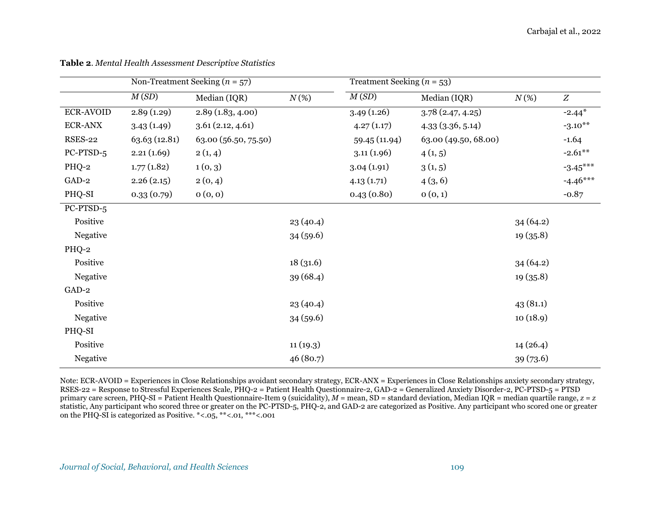|                  | Non-Treatment Seeking ( $n = 57$ ) |                      | Treatment Seeking ( $n = 53$ ) |               |                      |          |            |
|------------------|------------------------------------|----------------------|--------------------------------|---------------|----------------------|----------|------------|
|                  | M(SD)                              | Median (IQR)         | $N(\%)$                        | M(SD)         | Median (IQR)         | $N(\%)$  | Z          |
| <b>ECR-AVOID</b> | 2.89(1.29)                         | 2.89(1.83, 4.00)     |                                | 3.49(1.26)    | 3.78(2.47, 4.25)     |          | $-2.44*$   |
| <b>ECR-ANX</b>   | 3.43(1.49)                         | 3.61(2.12, 4.61)     |                                | 4.27(1.17)    | 4.33(3.36, 5.14)     |          | $-3.10***$ |
| <b>RSES-22</b>   | 63.63 (12.81)                      | 63.00 (56.50, 75.50) |                                | 59.45 (11.94) | 63.00 (49.50, 68.00) |          | $-1.64$    |
| PC-PTSD-5        | 2.21(1.69)                         | 2(1,4)               |                                | 3.11(1.96)    | 4(1, 5)              |          | $-2.61***$ |
| PHQ-2            | 1.77(1.82)                         | 1(0, 3)              |                                | 3.04(1.91)    | 3(1, 5)              |          | $-3.45***$ |
| GAD-2            | 2.26(2.15)                         | 2(0,4)               |                                | 4.13(1.71)    | 4(3,6)               |          | $-4.46***$ |
| PHQ-SI           | 0.33(0.79)                         | 0(0, 0)              |                                | 0.43(0.80)    | 0(0,1)               |          | $-0.87$    |
| PC-PTSD-5        |                                    |                      |                                |               |                      |          |            |
| Positive         |                                    |                      | 23 (40.4)                      |               |                      | 34(64.2) |            |
| Negative         |                                    |                      | 34(59.6)                       |               |                      | 19(35.8) |            |
| PHQ-2            |                                    |                      |                                |               |                      |          |            |
| Positive         |                                    |                      | 18(31.6)                       |               |                      | 34(64.2) |            |
| Negative         |                                    |                      | 39 (68.4)                      |               |                      | 19(35.8) |            |
| $GAD-2$          |                                    |                      |                                |               |                      |          |            |
| Positive         |                                    |                      | 23 (40.4)                      |               |                      | 43(81.1) |            |
| Negative         |                                    |                      | 34(59.6)                       |               |                      | 10(18.9) |            |
| PHQ-SI           |                                    |                      |                                |               |                      |          |            |
| Positive         |                                    |                      | 11(19.3)                       |               |                      | 14(26.4) |            |
| Negative         |                                    |                      | 46 (80.7)                      |               |                      | 39(73.6) |            |

**Table 2**. *Mental Health Assessment Descriptive Statistics*

Note: ECR-AVOID = Experiences in Close Relationships avoidant secondary strategy, ECR-ANX = Experiences in Close Relationships anxiety secondary strategy, RSES-22 = Response to Stressful Experiences Scale, PHQ-2 = Patient Health Questionnaire-2, GAD-2 = Generalized Anxiety Disorder-2, PC-PTSD-5 = PTSD primary care screen, PHQ-SI = Patient Health Questionnaire-Item 9 (suicidality), *M* = mean, SD = standard deviation, Median IQR = median quartile range, *z* = *z* statistic, Any participant who scored three or greater on the PC-PTSD-5, PHQ-2, and GAD-2 are categorized as Positive. Any participant who scored one or greater on the PHQ-SI is categorized as Positive.  $* < 0.05$ ,  $* < 0.01$ ,  $* < 0.01$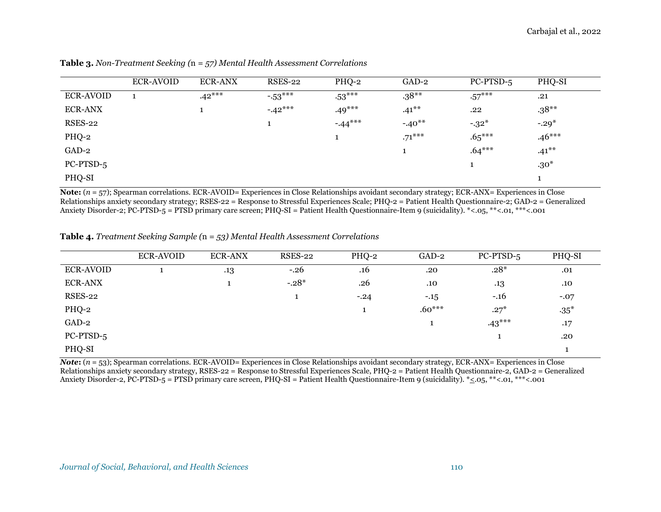|                  | <b>ECR-AVOID</b> | <b>ECR-ANX</b> | RSES-22  | PHQ-2    | GAD-2    | PC-PTSD-5 | PHQ-SI   |
|------------------|------------------|----------------|----------|----------|----------|-----------|----------|
| <b>ECR-AVOID</b> |                  | $.42***$       | $-53***$ | $-53***$ | $.38***$ | $.57***$  | .21      |
| <b>ECR-ANX</b>   |                  |                | $-42***$ | $.49***$ | $.41***$ | .22       | $.38***$ |
| <b>RSES-22</b>   |                  |                |          | $-44***$ | $-.40**$ | $-.32*$   | $-.29*$  |
| PHQ-2            |                  |                |          |          | $.71***$ | $.65***$  | $.46***$ |
| GAD-2            |                  |                |          |          |          | $.64***$  | $.41***$ |
| PC-PTSD-5        |                  |                |          |          |          |           | $.30*$   |
| PHQ-SI           |                  |                |          |          |          |           |          |

**Table 3.** *Non-Treatment Seeking (*n *= 57) Mental Health Assessment Correlations*

**Note:** (*n* = 57); Spearman correlations. ECR-AVOID= Experiences in Close Relationships avoidant secondary strategy; ECR-ANX= Experiences in Close Relationships anxiety secondary strategy; RSES-22 = Response to Stressful Experiences Scale; PHQ-2 = Patient Health Questionnaire-2; GAD-2 = Generalized Anxiety Disorder-2; PC-PTSD-5 = PTSD primary care screen; PHQ-SI = Patient Health Questionnaire-Item 9 (suicidality). \*<.05, \*\*<.01, \*\*\*<.001

**Table 4.** *Treatment Seeking Sample (*n *= 53) Mental Health Assessment Correlations*

|                  | <b>ECR-AVOID</b> | <b>ECR-ANX</b> | RSES-22      | PHQ-2  | $GAD-2$  | PC-PTSD-5 | PHQ-SI |
|------------------|------------------|----------------|--------------|--------|----------|-----------|--------|
| <b>ECR-AVOID</b> |                  | $.13\,$        | $-.26$       | .16    | .20      | $.28*$    | .01    |
| <b>ECR-ANX</b>   |                  |                | $-.28*$      | .26    | .10      | $.13\,$   | .10    |
| <b>RSES-22</b>   |                  |                | $\mathbf{I}$ | $-.24$ | $-.15$   | $-.16$    | $-.07$ |
| PHQ-2            |                  |                |              |        | $.60***$ | $.27*$    | $.35*$ |
| GAD-2            |                  |                |              |        |          | $-43***$  | .17    |
| PC-PTSD-5        |                  |                |              |        |          |           | .20    |
| PHQ-SI           |                  |                |              |        |          |           |        |

*Note*:  $(n = 53)$ ; Spearman correlations. ECR-AVOID= Experiences in Close Relationships avoidant secondary strategy, ECR-ANX= Experiences in Close Relationships anxiety secondary strategy, RSES-22 = Response to Stressful Experiences Scale, PHQ-2 = Patient Health Questionnaire-2, GAD-2 = Generalized Anxiety Disorder-2, PC-PTSD-5 = PTSD primary care screen, PHQ-SI = Patient Health Questionnaire-Item 9 (suicidality). \* < .05, \* \*< .001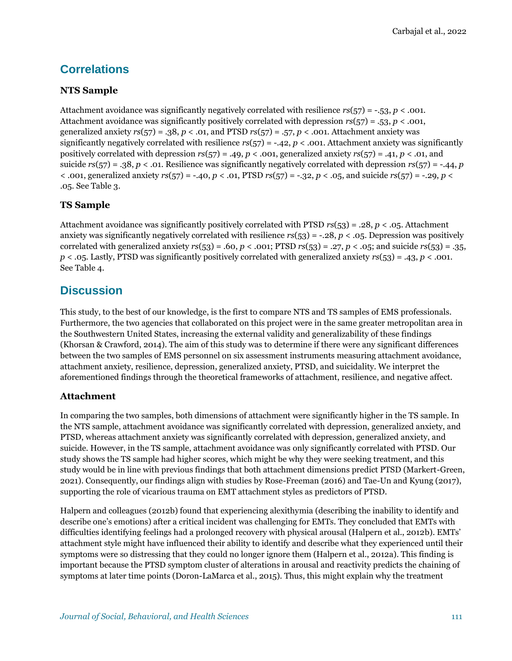# **Correlations**

#### **NTS Sample**

Attachment avoidance was significantly negatively correlated with resilience  $rs(57) = -.53$ ,  $p < .001$ . Attachment avoidance was significantly positively correlated with depression *rs*(57) = .53, *p* < .001, generalized anxiety *rs*(57) = .38, *p* < .01, and PTSD *rs*(57) = .57, *p* < .001. Attachment anxiety was significantly negatively correlated with resilience  $rs(57) = -.42$ ,  $p < .001$ . Attachment anxiety was significantly positively correlated with depression *rs*(57) = .49, *p* < .001, generalized anxiety *rs*(57) = .41, *p* < .01, and suicide *rs*(57) = .38, *p* < .01. Resilience was significantly negatively correlated with depression *rs*(57) = -.44, *p* < .001, generalized anxiety *rs*(57) = -.40, *p* < .01, PTSD *rs*(57) = -.32, *p* < .05, and suicide *rs*(57) = -.29, *p* < .05. See Table 3.

#### **TS Sample**

Attachment avoidance was significantly positively correlated with PTSD *rs*(53) = .28, *p* < .05. Attachment anxiety was significantly negatively correlated with resilience  $r s(53) = -0.28$ ,  $p < 0.05$ . Depression was positively correlated with generalized anxiety  $rs(53) = .60$ ,  $p < .001$ ; PTSD  $rs(53) = .27$ ,  $p < .05$ ; and suicide  $rs(53) = .35$ , *p* < .05. Lastly, PTSD was significantly positively correlated with generalized anxiety *rs*(53) = .43, *p* < .001. See Table 4.

# **Discussion**

This study, to the best of our knowledge, is the first to compare NTS and TS samples of EMS professionals. Furthermore, the two agencies that collaborated on this project were in the same greater metropolitan area in the Southwestern United States, increasing the external validity and generalizability of these findings (Khorsan & Crawford, 2014). The aim of this study was to determine if there were any significant differences between the two samples of EMS personnel on six assessment instruments measuring attachment avoidance, attachment anxiety, resilience, depression, generalized anxiety, PTSD, and suicidality. We interpret the aforementioned findings through the theoretical frameworks of attachment, resilience, and negative affect.

#### **Attachment**

In comparing the two samples, both dimensions of attachment were significantly higher in the TS sample. In the NTS sample, attachment avoidance was significantly correlated with depression, generalized anxiety, and PTSD, whereas attachment anxiety was significantly correlated with depression, generalized anxiety, and suicide. However, in the TS sample, attachment avoidance was only significantly correlated with PTSD. Our study shows the TS sample had higher scores, which might be why they were seeking treatment, and this study would be in line with previous findings that both attachment dimensions predict PTSD (Markert-Green, 2021). Consequently, our findings align with studies by Rose-Freeman (2016) and Tae-Un and Kyung (2017), supporting the role of vicarious trauma on EMT attachment styles as predictors of PTSD.

Halpern and colleagues (2012b) found that experiencing alexithymia (describing the inability to identify and describe one's emotions) after a critical incident was challenging for EMTs. They concluded that EMTs with difficulties identifying feelings had a prolonged recovery with physical arousal (Halpern et al., 2012b). EMTs' attachment style might have influenced their ability to identify and describe what they experienced until their symptoms were so distressing that they could no longer ignore them (Halpern et al., 2012a). This finding is important because the PTSD symptom cluster of alterations in arousal and reactivity predicts the chaining of symptoms at later time points (Doron-LaMarca et al., 2015). Thus, this might explain why the treatment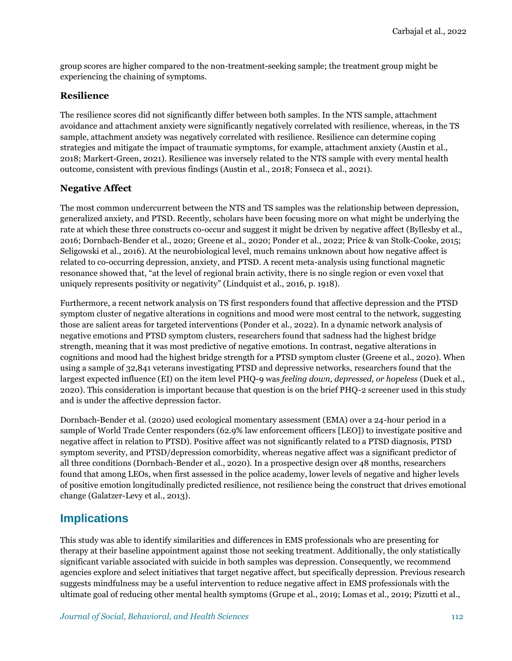group scores are higher compared to the non-treatment-seeking sample; the treatment group might be experiencing the chaining of symptoms.

#### **Resilience**

The resilience scores did not significantly differ between both samples. In the NTS sample, attachment avoidance and attachment anxiety were significantly negatively correlated with resilience, whereas, in the TS sample, attachment anxiety was negatively correlated with resilience. Resilience can determine coping strategies and mitigate the impact of traumatic symptoms, for example, attachment anxiety (Austin et al., 2018; Markert-Green, 2021). Resilience was inversely related to the NTS sample with every mental health outcome, consistent with previous findings (Austin et al., 2018; Fonseca et al., 2021).

#### **Negative Affect**

The most common undercurrent between the NTS and TS samples was the relationship between depression, generalized anxiety, and PTSD. Recently, scholars have been focusing more on what might be underlying the rate at which these three constructs co-occur and suggest it might be driven by negative affect (Byllesby et al., 2016; Dornbach-Bender et al., 2020; Greene et al., 2020; Ponder et al., 2022; Price & van Stolk-Cooke, 2015; Seligowski et al., 2016). At the neurobiological level, much remains unknown about how negative affect is related to co-occurring depression, anxiety, and PTSD. A recent meta-analysis using functional magnetic resonance showed that, "at the level of regional brain activity, there is no single region or even voxel that uniquely represents positivity or negativity" (Lindquist et al., 2016, p. 1918).

Furthermore, a recent network analysis on TS first responders found that affective depression and the PTSD symptom cluster of negative alterations in cognitions and mood were most central to the network, suggesting those are salient areas for targeted interventions (Ponder et al., 2022). In a dynamic network analysis of negative emotions and PTSD symptom clusters, researchers found that sadness had the highest bridge strength, meaning that it was most predictive of negative emotions. In contrast, negative alterations in cognitions and mood had the highest bridge strength for a PTSD symptom cluster (Greene et al., 2020). When using a sample of 32,841 veterans investigating PTSD and depressive networks, researchers found that the largest expected influence (EI) on the item level PHQ-9 was *feeling down, depressed, or hopeless* (Duek et al., 2020). This consideration is important because that question is on the brief PHQ-2 screener used in this study and is under the affective depression factor.

Dornbach-Bender et al. (2020) used ecological momentary assessment (EMA) over a 24-hour period in a sample of World Trade Center responders (62.9% law enforcement officers [LEO]) to investigate positive and negative affect in relation to PTSD). Positive affect was not significantly related to a PTSD diagnosis, PTSD symptom severity, and PTSD/depression comorbidity, whereas negative affect was a significant predictor of all three conditions (Dornbach-Bender et al., 2020). In a prospective design over 48 months, researchers found that among LEOs, when first assessed in the police academy, lower levels of negative and higher levels of positive emotion longitudinally predicted resilience, not resilience being the construct that drives emotional change (Galatzer-Levy et al., 2013).

## **Implications**

This study was able to identify similarities and differences in EMS professionals who are presenting for therapy at their baseline appointment against those not seeking treatment. Additionally, the only statistically significant variable associated with suicide in both samples was depression. Consequently, we recommend agencies explore and select initiatives that target negative affect, but specifically depression. Previous research suggests mindfulness may be a useful intervention to reduce negative affect in EMS professionals with the ultimate goal of reducing other mental health symptoms (Grupe et al., 2019; Lomas et al., 2019; Pizutti et al.,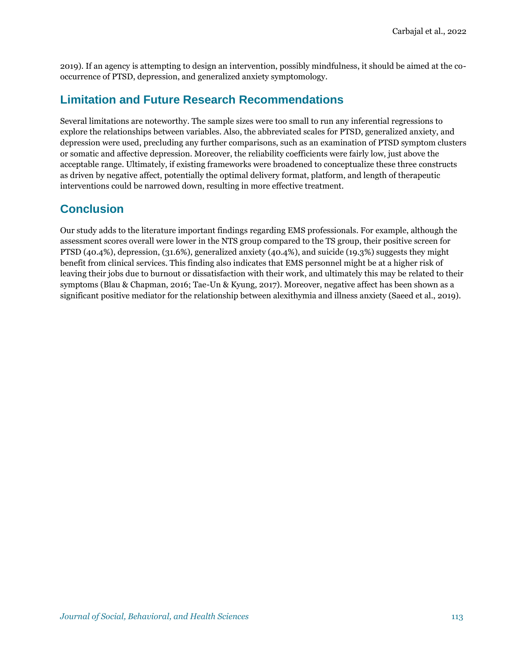2019). If an agency is attempting to design an intervention, possibly mindfulness, it should be aimed at the cooccurrence of PTSD, depression, and generalized anxiety symptomology.

# **Limitation and Future Research Recommendations**

Several limitations are noteworthy. The sample sizes were too small to run any inferential regressions to explore the relationships between variables. Also, the abbreviated scales for PTSD, generalized anxiety, and depression were used, precluding any further comparisons, such as an examination of PTSD symptom clusters or somatic and affective depression. Moreover, the reliability coefficients were fairly low, just above the acceptable range. Ultimately, if existing frameworks were broadened to conceptualize these three constructs as driven by negative affect, potentially the optimal delivery format, platform, and length of therapeutic interventions could be narrowed down, resulting in more effective treatment.

# **Conclusion**

Our study adds to the literature important findings regarding EMS professionals. For example, although the assessment scores overall were lower in the NTS group compared to the TS group, their positive screen for PTSD (40.4%), depression, (31.6%), generalized anxiety (40.4%), and suicide (19.3%) suggests they might benefit from clinical services. This finding also indicates that EMS personnel might be at a higher risk of leaving their jobs due to burnout or dissatisfaction with their work, and ultimately this may be related to their symptoms (Blau & Chapman, 2016; Tae-Un & Kyung, 2017). Moreover, negative affect has been shown as a significant positive mediator for the relationship between alexithymia and illness anxiety (Saeed et al., 2019).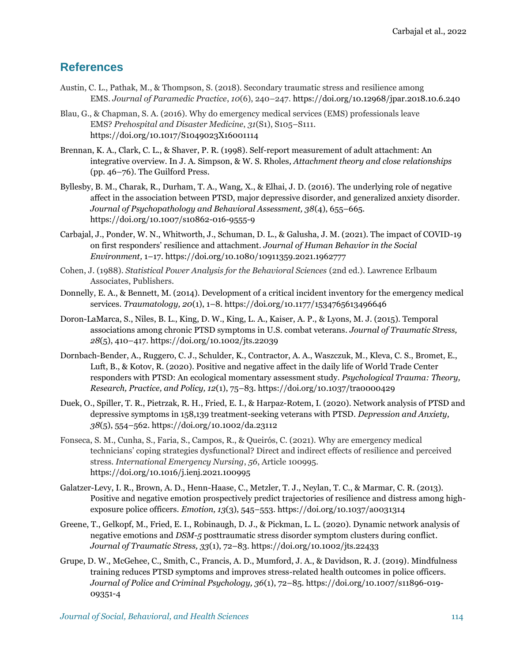# **References**

- Austin, C. L., Pathak, M., & Thompson, S. (2018). Secondary traumatic stress and resilience among EMS. *Journal of Paramedic Practice*, *10*(6), 240–247.<https://doi.org/10.12968/jpar.2018.10.6.240>
- Blau, G., & Chapman, S. A. (2016). Why do emergency medical services (EMS) professionals leave EMS? *Prehospital and Disaster Medicine*, *31*(S1), S105–S111. <https://doi.org/10.1017/S1049023X16001114>
- Brennan, K. A., Clark, C. L., & Shaver, P. R. (1998). Self-report measurement of adult attachment: An integrative overview. In J. A. Simpson, & W. S. Rholes*, Attachment theory and close relationships*  (pp. 46–76). The Guilford Press.
- Byllesby, B. M., Charak, R., Durham, T. A., Wang, X., & Elhai, J. D. (2016). The underlying role of negative affect in the association between PTSD, major depressive disorder, and generalized anxiety disorder. *Journal of Psychopathology and Behavioral Assessment, 38*(4), 655–665. <https://doi.org/10.1007/s10862-016-9555-9>
- Carbajal, J., Ponder, W. N., Whitworth, J., Schuman, D. L., & Galusha, J. M. (2021). The impact of COVID-19 on first responders' resilience and attachment. *Journal of Human Behavior in the Social Environment,* 1–17.<https://doi.org/10.1080/10911359.2021.1962777>
- Cohen, J. (1988). *Statistical Power Analysis for the Behavioral Sciences* (2nd ed.). Lawrence Erlbaum Associates, Publishers.
- Donnelly, E. A., & Bennett, M. (2014). Development of a critical incident inventory for the emergency medical services. *Traumatology, 20*(1), 1–8[. https://doi.org/10.1177/1534765613496646](https://doi.org/10.1177/1534765613496646)
- Doron-LaMarca, S., Niles, B. L., King, D. W., King, L. A., Kaiser, A. P., & Lyons, M. J. (2015). Temporal associations among chronic PTSD symptoms in U.S. combat veterans. *Journal of Traumatic Stress, 28*(5), 410–417.<https://doi.org/10.1002/jts.22039>
- Dornbach-Bender, A., Ruggero, C. J., Schulder, K., Contractor, A. A., Waszczuk, M., Kleva, C. S., Bromet, E., Luft, B., & Kotov, R. (2020). Positive and negative affect in the daily life of World Trade Center responders with PTSD: An ecological momentary assessment study. *Psychological Trauma: Theory, Research, Practice, and Policy, 12*(1), 75–83[. https://doi.org/10.1037/tra0000429](https://doi.org/10.1037/tra0000429)
- Duek, O., Spiller, T. R., Pietrzak, R. H., Fried, E. I., & Harpaz-Rotem, I. (2020). Network analysis of PTSD and depressive symptoms in 158,139 treatment-seeking veterans with PTSD. *Depression and Anxiety, 38*(5), 554–562[. https://doi.org/10.1002/da.23112](https://doi.org/10.1002/da.23112)
- Fonseca, S. M., Cunha, S., Faria, S., Campos, R., & Queirós, C. (2021). Why are emergency medical technicians' coping strategies dysfunctional? Direct and indirect effects of resilience and perceived stress. *International Emergency Nursing*, *56*, Article 100995. <https://doi.org/10.1016/j.ienj.2021.100995>
- Galatzer-Levy, I. R., Brown, A. D., Henn-Haase, C., Metzler, T. J., Neylan, T. C., & Marmar, C. R. (2013). Positive and negative emotion prospectively predict trajectories of resilience and distress among highexposure police officers. *Emotion, 13*(3), 545–553.<https://doi.org/10.1037/a0031314>
- Greene, T., Gelkopf, M., Fried, E. I., Robinaugh, D. J., & Pickman, L. L. (2020). Dynamic network analysis of negative emotions and *DSM-5* posttraumatic stress disorder symptom clusters during conflict. *Journal of Traumatic Stress, 33*(1), 72–83.<https://doi.org/10.1002/jts.22433>
- Grupe, D. W., McGehee, C., Smith, C., Francis, A. D., Mumford, J. A., & Davidson, R. J. (2019). Mindfulness training reduces PTSD symptoms and improves stress-related health outcomes in police officers. *Journal of Police and Criminal Psychology, 36*(1), 72–85. [https://doi.org/10.1007/s11896-019-](https://doi.org/10.1007/s11896-019-09351-4) [09351-4](https://doi.org/10.1007/s11896-019-09351-4)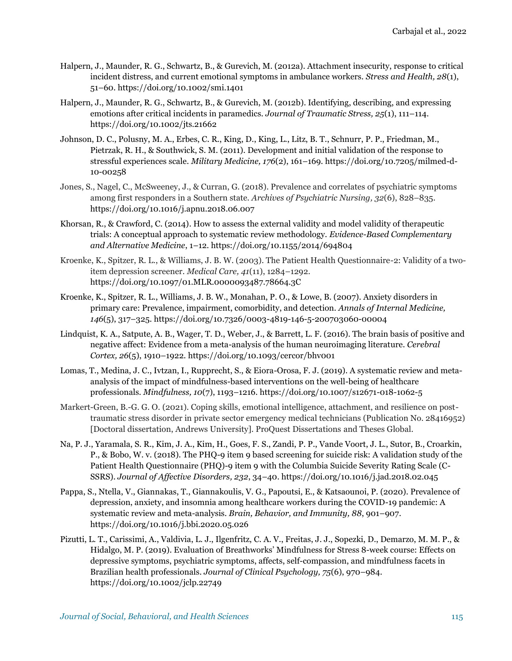- Halpern, J., Maunder, R. G., Schwartz, B., & Gurevich, M. (2012a). Attachment insecurity, response to critical incident distress, and current emotional symptoms in ambulance workers. *Stress and Health, 28*(1), 51–60.<https://doi.org/10.1002/smi.1401>
- Halpern, J., Maunder, R. G., Schwartz, B., & Gurevich, M. (2012b). Identifying, describing, and expressing emotions after critical incidents in paramedics. *Journal of Traumatic Stress, 25*(1), 111–114. <https://doi.org/10.1002/jts.21662>
- Johnson, D. C., Polusny, M. A., Erbes, C. R., King, D., King, L., Litz, B. T., Schnurr, P. P., Friedman, M., Pietrzak, R. H., & Southwick, S. M. (2011). Development and initial validation of the response to stressful experiences scale. *Military Medicine, 176*(2), 161–169. [https://doi.org/10.7205/milmed-d-](https://doi.org/10.7205/milmed-d-10-00258)[10-00258](https://doi.org/10.7205/milmed-d-10-00258)
- Jones, S., Nagel, C., McSweeney, J., & Curran, G. (2018). Prevalence and correlates of psychiatric symptoms among first responders in a Southern state. *Archives of Psychiatric Nursing, 32*(6), 828–835. <https://doi.org/10.1016/j.apnu.2018.06.007>
- Khorsan, R., & Crawford, C. (2014). How to assess the external validity and model validity of therapeutic trials: A conceptual approach to systematic review methodology. *Evidence-Based Complementary and Alternative Medicine*, 1–12.<https://doi.org/10.1155/2014/694804>
- Kroenke, K., Spitzer, R. L., & Williams, J. B. W. (2003). The Patient Health Questionnaire-2: Validity of a twoitem depression screener. *Medical Care, 41*(11), 1284–1292. <https://doi.org/10.1097/01.MLR.0000093487.78664.3C>
- Kroenke, K., Spitzer, R. L., Williams, J. B. W., Monahan, P. O., & Lowe, B. (2007). Anxiety disorders in primary care: Prevalence, impairment, comorbidity, and detection. *Annals of Internal Medicine, 146*(5), 317–325.<https://doi.org/10.7326/0003-4819-146-5-200703060-00004>
- Lindquist, K. A., Satpute, A. B., Wager, T. D., Weber, J., & Barrett, L. F. (2016). The brain basis of positive and negative affect: Evidence from a meta-analysis of the human neuroimaging literature. *Cerebral Cortex, 26*(5), 1910–1922.<https://doi.org/10.1093/cercor/bhv001>
- Lomas, T., Medina, J. C., Ivtzan, I., Rupprecht, S., & Eiora-Orosa, F. J. (2019). A systematic review and metaanalysis of the impact of mindfulness-based interventions on the well-being of healthcare professionals. *Mindfulness, 10*(7), 1193–1216.<https://doi.org/10.1007/s12671-018-1062-5>
- Markert-Green, B.-G. G. O. (2021). Coping skills, emotional intelligence, attachment, and resilience on posttraumatic stress disorder in private sector emergency medical technicians (Publication No. 28416952) [Doctoral dissertation, Andrews University]. ProQuest Dissertations and Theses Global.
- Na, P. J., Yaramala, S. R., Kim, J. A., Kim, H., Goes, F. S., Zandi, P. P., Vande Voort, J. L., Sutor, B., Croarkin, P., & Bobo, W. v. (2018). The PHQ-9 item 9 based screening for suicide risk: A validation study of the Patient Health Questionnaire (PHQ)-9 item 9 with the Columbia Suicide Severity Rating Scale (C-SSRS). *Journal of Affective Disorders, 232*, 34–40[. https://doi.org/10.1016/j.jad.2018.02.045](https://doi.org/10.1016/j.jad.2018.02.045)
- Pappa, S., Ntella, V., Giannakas, T., Giannakoulis, V. G., Papoutsi, E., & Katsaounoi, P. (2020). Prevalence of depression, anxiety, and insomnia among healthcare workers during the COVID-19 pandemic: A systematic review and meta-analysis. *Brain, Behavior, and Immunity, 88*, 901–907. <https://doi.org/10.1016/j.bbi.2020.05.026>
- Pizutti, L. T., Carissimi, A., Valdivia, L. J., Ilgenfritz, C. A. V., Freitas, J. J., Sopezki, D., Demarzo, M. M. P., & Hidalgo, M. P. (2019). Evaluation of Breathworks' Mindfulness for Stress 8-week course: Effects on depressive symptoms, psychiatric symptoms, affects, self-compassion, and mindfulness facets in Brazilian health professionals. *Journal of Clinical Psychology, 75*(6), 970–984. <https://doi.org/10.1002/jclp.22749>